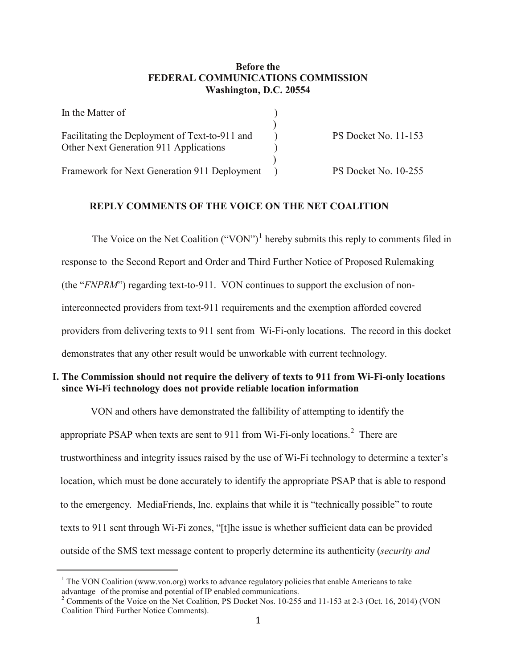## **Before the FEDERAL COMMUNICATIONS COMMISSION Washington, D.C. 20554**

| In the Matter of                               |                      |
|------------------------------------------------|----------------------|
|                                                |                      |
| Facilitating the Deployment of Text-to-911 and | PS Docket No. 11-153 |
| Other Next Generation 911 Applications         |                      |
|                                                |                      |
| Framework for Next Generation 911 Deployment   | PS Docket No. 10-255 |

## **REPLY COMMENTS OF THE VOICE ON THE NET COALITION**

The Voice on the Net Coalition ("VON")<sup>[1](#page-0-0)</sup> hereby submits this reply to comments filed in response to the Second Report and Order and Third Further Notice of Proposed Rulemaking (the "*FNPRM*") regarding text-to-911. VON continues to support the exclusion of noninterconnected providers from text-911 requirements and the exemption afforded covered providers from delivering texts to 911 sent from Wi-Fi-only locations. The record in this docket demonstrates that any other result would be unworkable with current technology.

## **I. The Commission should not require the delivery of texts to 911 from Wi-Fi-only locations since Wi-Fi technology does not provide reliable location information**

VON and others have demonstrated the fallibility of attempting to identify the appropriate PSAP when texts are sent to 911 from Wi-Fi-only locations.<sup>[2](#page-0-1)</sup> There are trustworthiness and integrity issues raised by the use of Wi-Fi technology to determine a texter's location, which must be done accurately to identify the appropriate PSAP that is able to respond to the emergency. MediaFriends, Inc. explains that while it is "technically possible" to route texts to 911 sent through Wi-Fi zones, "[t]he issue is whether sufficient data can be provided outside of the SMS text message content to properly determine its authenticity (*security and* 

<span id="page-0-0"></span>**.** 

<sup>&</sup>lt;sup>1</sup> The VON Coalition (www.von.org) works to advance regulatory policies that enable Americans to take advantage of the promise and potential of IP enabled communications.

<span id="page-0-1"></span><sup>&</sup>lt;sup>2</sup> Comments of the Voice on the Net Coalition, PS Docket Nos.  $10-255$  and  $11-153$  at 2-3 (Oct. 16, 2014) (VON Coalition Third Further Notice Comments).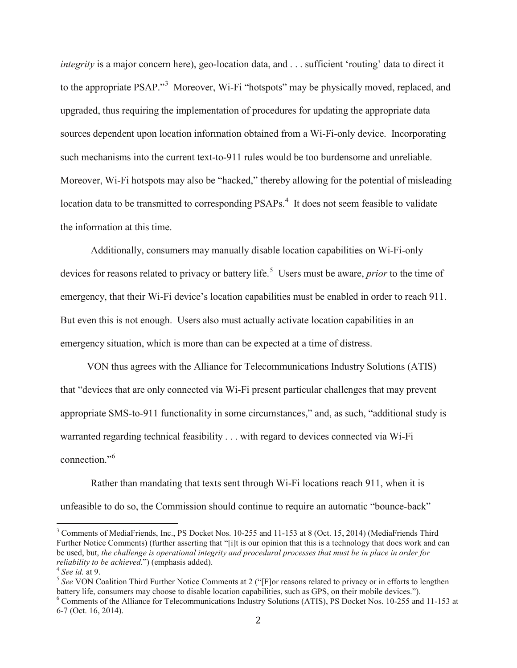*integrity* is a major concern here), geo-location data, and . . . sufficient 'routing' data to direct it to the appropriate PSAP."<sup>[3](#page-1-0)</sup> Moreover, Wi-Fi "hotspots" may be physically moved, replaced, and upgraded, thus requiring the implementation of procedures for updating the appropriate data sources dependent upon location information obtained from a Wi-Fi-only device. Incorporating such mechanisms into the current text-to-911 rules would be too burdensome and unreliable. Moreover, Wi-Fi hotspots may also be "hacked," thereby allowing for the potential of misleading location data to be transmitted to corresponding PSAPs.<sup>[4](#page-1-1)</sup> It does not seem feasible to validate the information at this time.

Additionally, consumers may manually disable location capabilities on Wi-Fi-only devices for reasons related to privacy or battery life.<sup>[5](#page-1-2)</sup> Users must be aware, *prior* to the time of emergency, that their Wi-Fi device's location capabilities must be enabled in order to reach 911. But even this is not enough. Users also must actually activate location capabilities in an emergency situation, which is more than can be expected at a time of distress.

VON thus agrees with the Alliance for Telecommunications Industry Solutions (ATIS) that "devices that are only connected via Wi-Fi present particular challenges that may prevent appropriate SMS-to-911 functionality in some circumstances," and, as such, "additional study is warranted regarding technical feasibility . . . with regard to devices connected via Wi-Fi connection."[6](#page-1-3)

Rather than mandating that texts sent through Wi-Fi locations reach 911, when it is unfeasible to do so, the Commission should continue to require an automatic "bounce-back"

<span id="page-1-0"></span><sup>&</sup>lt;sup>3</sup> Comments of MediaFriends, Inc., PS Docket Nos. 10-255 and 11-153 at 8 (Oct. 15, 2014) (MediaFriends Third Further Notice Comments) (further asserting that "[i]t is our opinion that this is a technology that does work and can be used, but, *the challenge is operational integrity and procedural processes that must be in place in order for* 

<span id="page-1-2"></span><span id="page-1-1"></span><sup>&</sup>lt;sup>4</sup> *See id.* at 9. *Coalition Third Further Notice Comments at 2* **("[F]or reasons related to privacy or in efforts to lengthen** *See VON Coalition Third Further Notice Comments at 2* **("[F]or reasons related to privacy or** battery life, consumers may choose to disable location capabilities, such as GPS, on their mobile devices.").

<span id="page-1-3"></span><sup>6</sup> Comments of the Alliance for Telecommunications Industry Solutions (ATIS), PS Docket Nos. 10-255 and 11-153 at 6-7 (Oct. 16, 2014).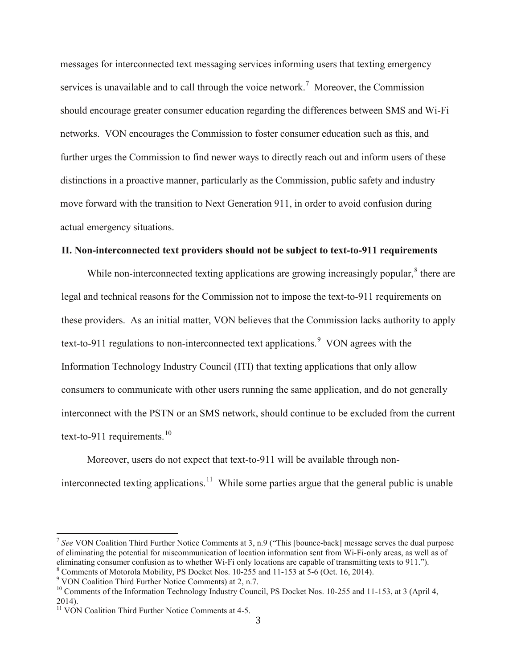messages for interconnected text messaging services informing users that texting emergency services is unavailable and to call through the voice network.<sup>[7](#page-2-0)</sup> Moreover, the Commission should encourage greater consumer education regarding the differences between SMS and Wi-Fi networks. VON encourages the Commission to foster consumer education such as this, and further urges the Commission to find newer ways to directly reach out and inform users of these distinctions in a proactive manner, particularly as the Commission, public safety and industry move forward with the transition to Next Generation 911, in order to avoid confusion during actual emergency situations.

## **II. Non-interconnected text providers should not be subject to text-to-911 requirements**

While non-interconnected texting applications are growing increasingly popular,  $\delta$  there are legal and technical reasons for the Commission not to impose the text-to-911 requirements on these providers. As an initial matter, VON believes that the Commission lacks authority to apply text-to-[9](#page-2-2)11 regulations to non-interconnected text applications.<sup>9</sup> VON agrees with the Information Technology Industry Council (ITI) that texting applications that only allow consumers to communicate with other users running the same application, and do not generally interconnect with the PSTN or an SMS network, should continue to be excluded from the current text-to-911 requirements.<sup>[10](#page-2-3)</sup>

Moreover, users do not expect that text-to-911 will be available through non-interconnected texting applications.<sup>[11](#page-2-4)</sup> While some parties argue that the general public is unable

<span id="page-2-0"></span><sup>7</sup> *See* VON Coalition Third Further Notice Comments at 3, n.9 ("This [bounce-back] message serves the dual purpose of eliminating the potential for miscommunication of location information sent from Wi-Fi-only areas, as well as of eliminating consumer confusion as to whether Wi-Fi only locations are capable of transmitting texts to 911.").<br>
<sup>8</sup> Comments of Motorola Mobility, PS Docket Nos. 10-255 and 11-153 at 5-6 (Oct. 16, 2014).<br>
<sup>9</sup> VON Coalition

<span id="page-2-2"></span><span id="page-2-1"></span>

<span id="page-2-3"></span><sup>&</sup>lt;sup>10</sup> Comments of the Information Technology Industry Council, PS Docket Nos.  $10\n-255$  and  $11\n-153$ , at 3 (April 4, 2014).

<span id="page-2-4"></span><sup>&</sup>lt;sup>11</sup> VON Coalition Third Further Notice Comments at 4-5.